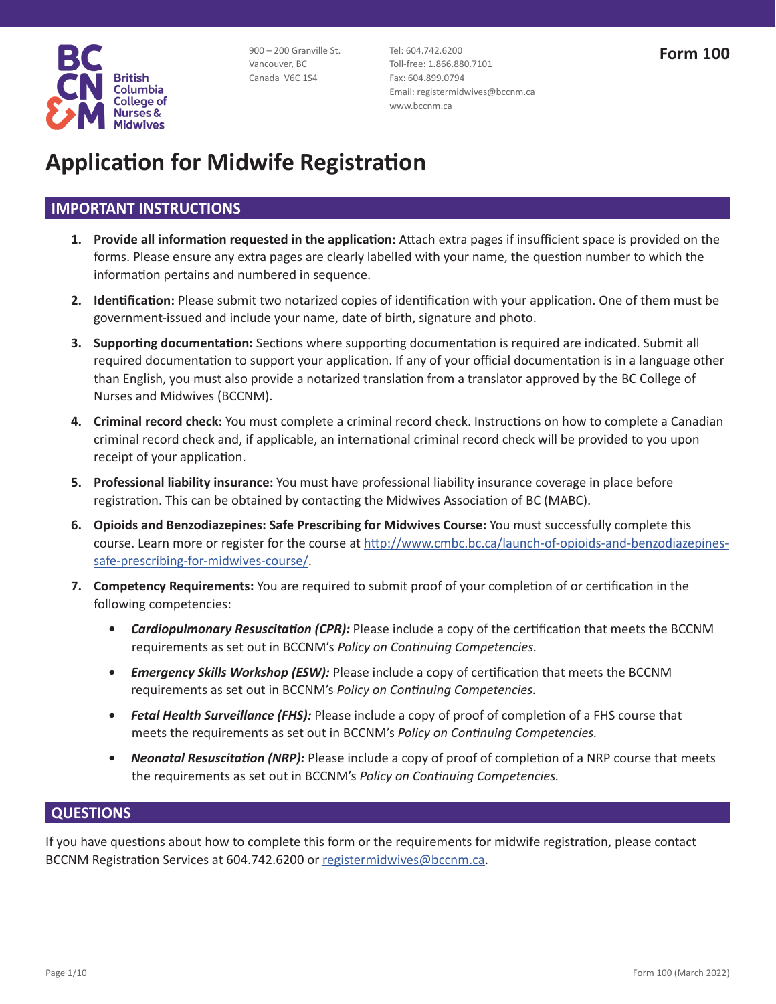

900 – 200 Granville St. Vancouver, BC Canada V6C 1S4

Tel: 604.742.6200 Toll-free: 1.866.880.7101 Fax: 604.899.0794 Email: registermidwives@bccnm.ca www.bccnm.ca

# **Application for Midwife Registration**

### **IMPORTANT INSTRUCTIONS**

- **1. Provide all information requested in the application:** Attach extra pages if insufficient space is provided on the forms. Please ensure any extra pages are clearly labelled with your name, the question number to which the information pertains and numbered in sequence.
- **2. Identification:** Please submit two notarized copies of identification with your application. One of them must be government-issued and include your name, date of birth, signature and photo.
- **3. Supporting documentation:** Sections where supporting documentation is required are indicated. Submit all required documentation to support your application. If any of your official documentation is in a language other than English, you must also provide a notarized translation from a translator approved by the BC College of Nurses and Midwives (BCCNM).
- **4. Criminal record check:** You must complete a criminal record check. Instructions on how to complete a Canadian criminal record check and, if applicable, an international criminal record check will be provided to you upon receipt of your application.
- **5. Professional liability insurance:** You must have professional liability insurance coverage in place before registration. This can be obtained by contacting the Midwives Association of BC (MABC).
- **6. Opioids and Benzodiazepines: Safe Prescribing for Midwives Course:** You must successfully complete this course. Learn more or register for the course at http://www.cmbc.bc.ca/launch-of-opioids-and-benzodiazepinessafe-prescribing-for-midwives-course/.
- **7. Competency Requirements:** You are required to submit proof of your completion of or certification in the following competencies:
	- *• Cardiopulmonary Resuscitation (CPR):* Please include a copy of the certification that meets the BCCNM requirements as set out in BCCNM's *Policy on Continuing Competencies.*
	- *• Emergency Skills Workshop (ESW):* Please include a copy of certification that meets the BCCNM requirements as set out in BCCNM's *Policy on Continuing Competencies.*
	- *• Fetal Health Surveillance (FHS):* Please include a copy of proof of completion of a FHS course that meets the requirements as set out in BCCNM's *Policy on Continuing Competencies.*
	- *• Neonatal Resuscitation (NRP):* Please include a copy of proof of completion of a NRP course that meets the requirements as set out in BCCNM's *Policy on Continuing Competencies.*

### **QUESTIONS**

If you have questions about how to complete this form or the requirements for midwife registration, please contact BCCNM Registration Services at 604.742.6200 or registermidwives@bccnm.ca.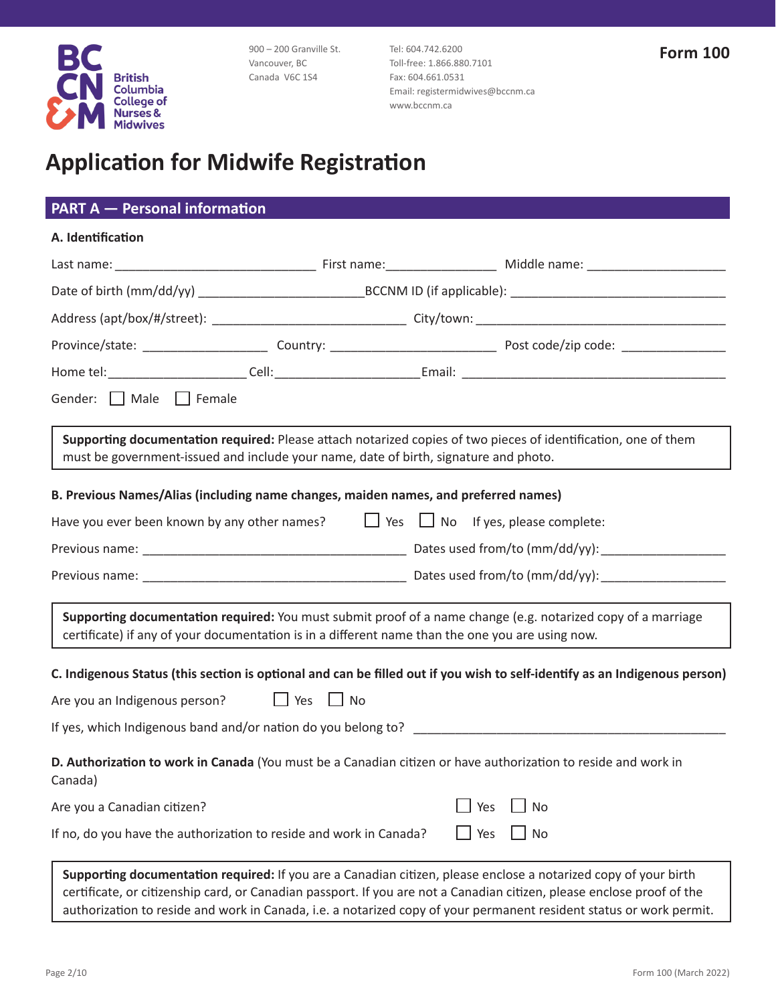

900 – 200 Granville St. Vancouver, BC Canada V6C 1S4

Tel: 604.742.6200 Toll-free: 1.866.880.7101 Fax: 604.661.0531 Email: registermidwives@bccnm.ca www.bccnm.ca

## **Application for Midwife Registration**

| <b>PART A - Personal information</b>                                                                                      |  |     |                                                                                                                                                                                                                                           |
|---------------------------------------------------------------------------------------------------------------------------|--|-----|-------------------------------------------------------------------------------------------------------------------------------------------------------------------------------------------------------------------------------------------|
| A. Identification                                                                                                         |  |     |                                                                                                                                                                                                                                           |
|                                                                                                                           |  |     |                                                                                                                                                                                                                                           |
|                                                                                                                           |  |     |                                                                                                                                                                                                                                           |
|                                                                                                                           |  |     |                                                                                                                                                                                                                                           |
|                                                                                                                           |  |     |                                                                                                                                                                                                                                           |
|                                                                                                                           |  |     |                                                                                                                                                                                                                                           |
| Gender: Male Female                                                                                                       |  |     |                                                                                                                                                                                                                                           |
| must be government-issued and include your name, date of birth, signature and photo.                                      |  |     | Supporting documentation required: Please attach notarized copies of two pieces of identification, one of them                                                                                                                            |
| B. Previous Names/Alias (including name changes, maiden names, and preferred names)                                       |  |     |                                                                                                                                                                                                                                           |
| Have you ever been known by any other names? $\Box$ Yes $\Box$ No If yes, please complete:                                |  |     |                                                                                                                                                                                                                                           |
|                                                                                                                           |  |     |                                                                                                                                                                                                                                           |
|                                                                                                                           |  |     |                                                                                                                                                                                                                                           |
| certificate) if any of your documentation is in a different name than the one you are using now.                          |  |     | Supporting documentation required: You must submit proof of a name change (e.g. notarized copy of a marriage                                                                                                                              |
|                                                                                                                           |  |     | C. Indigenous Status (this section is optional and can be filled out if you wish to self-identify as an Indigenous person)                                                                                                                |
| Are you an Indigenous person? $\Box$ Yes $\Box$ No                                                                        |  |     |                                                                                                                                                                                                                                           |
| If yes, which Indigenous band and/or nation do you belong to?                                                             |  |     |                                                                                                                                                                                                                                           |
| D. Authorization to work in Canada (You must be a Canadian citizen or have authorization to reside and work in<br>Canada) |  |     |                                                                                                                                                                                                                                           |
| Are you a Canadian citizen?                                                                                               |  | Yes | <b>No</b>                                                                                                                                                                                                                                 |
| If no, do you have the authorization to reside and work in Canada?                                                        |  | Yes | No                                                                                                                                                                                                                                        |
|                                                                                                                           |  |     | Supporting documentation required: If you are a Canadian citizen, please enclose a notarized copy of your birth<br>certificate, or citizenship card, or Canadian passport. If you are not a Canadian citizen, please enclose proof of the |

authorization to reside and work in Canada, i.e. a notarized copy of your permanent resident status or work permit.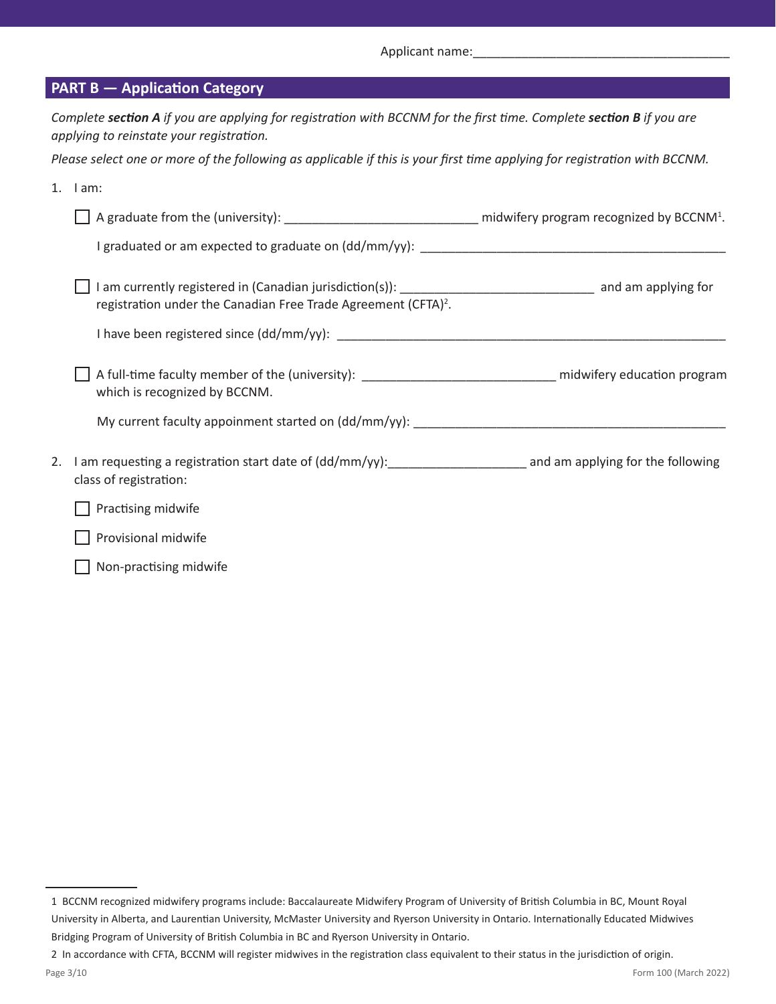Applicant name:

|    | <b>PART B - Application Category</b>                                                                                                                                                          |  |
|----|-----------------------------------------------------------------------------------------------------------------------------------------------------------------------------------------------|--|
|    | Complete section A if you are applying for registration with BCCNM for the first time. Complete section B if you are<br>applying to reinstate your registration.                              |  |
|    | Please select one or more of the following as applicable if this is your first time applying for registration with BCCNM.                                                                     |  |
|    | $1.$ $1am:$                                                                                                                                                                                   |  |
|    | $\Box$ A graduate from the (university): __________________________________ midwifery program recognized by BCCNM <sup>1</sup> .                                                              |  |
|    |                                                                                                                                                                                               |  |
|    | I am currently registered in (Canadian jurisdiction(s)): __________________________________ and am applying for<br>registration under the Canadian Free Trade Agreement (CFTA) <sup>2</sup> . |  |
|    |                                                                                                                                                                                               |  |
|    | A full-time faculty member of the (university): ________________________________ midwifery education program<br>which is recognized by BCCNM.                                                 |  |
|    |                                                                                                                                                                                               |  |
| 2. | I am requesting a registration start date of (dd/mm/yy):<br>1 am applying for the following<br>class of registration:                                                                         |  |
|    | Practising midwife                                                                                                                                                                            |  |
|    | Provisional midwife                                                                                                                                                                           |  |
|    | Non-practising midwife                                                                                                                                                                        |  |

<sup>1</sup> BCCNM recognized midwifery programs include: Baccalaureate Midwifery Program of University of British Columbia in BC, Mount Royal University in Alberta, and Laurentian University, McMaster University and Ryerson University in Ontario. Internationally Educated Midwives Bridging Program of University of British Columbia in BC and Ryerson University in Ontario.

<sup>2</sup> In accordance with CFTA, BCCNM will register midwives in the registration class equivalent to their status in the jurisdiction of origin.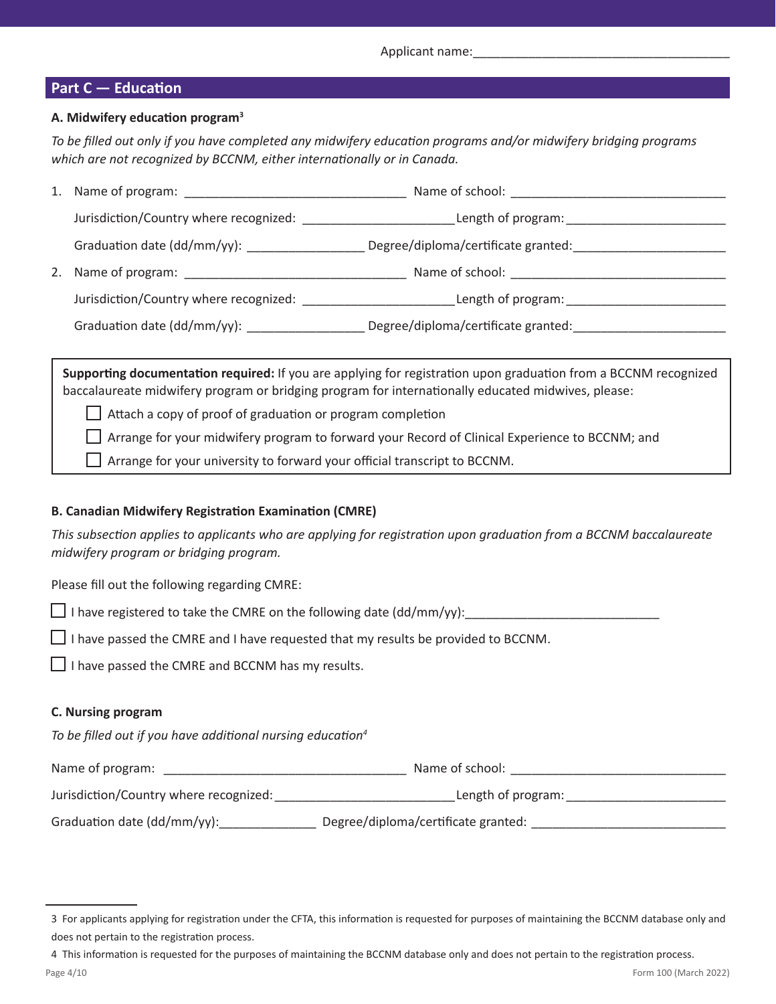#### **Part C — Education**

#### **A. Midwifery education program<sup>3</sup>**

*To be filled out only if you have completed any midwifery education programs and/or midwifery bridging programs which are not recognized by BCCNM, either internationally or in Canada.*

|    |                                           | Name of school:                     |  |
|----|-------------------------------------------|-------------------------------------|--|
|    | Jurisdiction/Country where recognized:    | Length of program:                  |  |
|    | Graduation date (dd/mm/yy): _____________ | Degree/diploma/certificate granted: |  |
| 2. |                                           | Name of school: Name of school:     |  |
|    | Jurisdiction/Country where recognized:    | Length of program:                  |  |
|    |                                           | Degree/diploma/certificate granted: |  |

**Supporting documentation required:** If you are applying for registration upon graduation from a BCCNM recognized baccalaureate midwifery program or bridging program for internationally educated midwives, please:

 $\Box$  Attach a copy of proof of graduation or program completion

Arrange for your midwifery program to forward your Record of Clinical Experience to BCCNM; and

 $\Box$  Arrange for your university to forward your official transcript to BCCNM.

#### **B. Canadian Midwifery Registration Examination (CMRE)**

*This subsection applies to applicants who are applying for registration upon graduation from a BCCNM baccalaureate midwifery program or bridging program.*

Please fill out the following regarding CMRE:

I have registered to take the CMRE on the following date (dd/mm/yy):

 $\Box$  I have passed the CMRE and I have requested that my results be provided to BCCNM.

 $\Box$  I have passed the CMRE and BCCNM has my results.

#### **C. Nursing program**

*To be filled out if you have additional nursing education<sup>4</sup>*

| Name of program:                       | Name of school:                     |
|----------------------------------------|-------------------------------------|
| Jurisdiction/Country where recognized: | Length of program:                  |
| Graduation date (dd/mm/yy):            | Degree/diploma/certificate granted: |

<sup>3</sup> For applicants applying for registration under the CFTA, this information is requested for purposes of maintaining the BCCNM database only and does not pertain to the registration process.

<sup>4</sup> This information is requested for the purposes of maintaining the BCCNM database only and does not pertain to the registration process.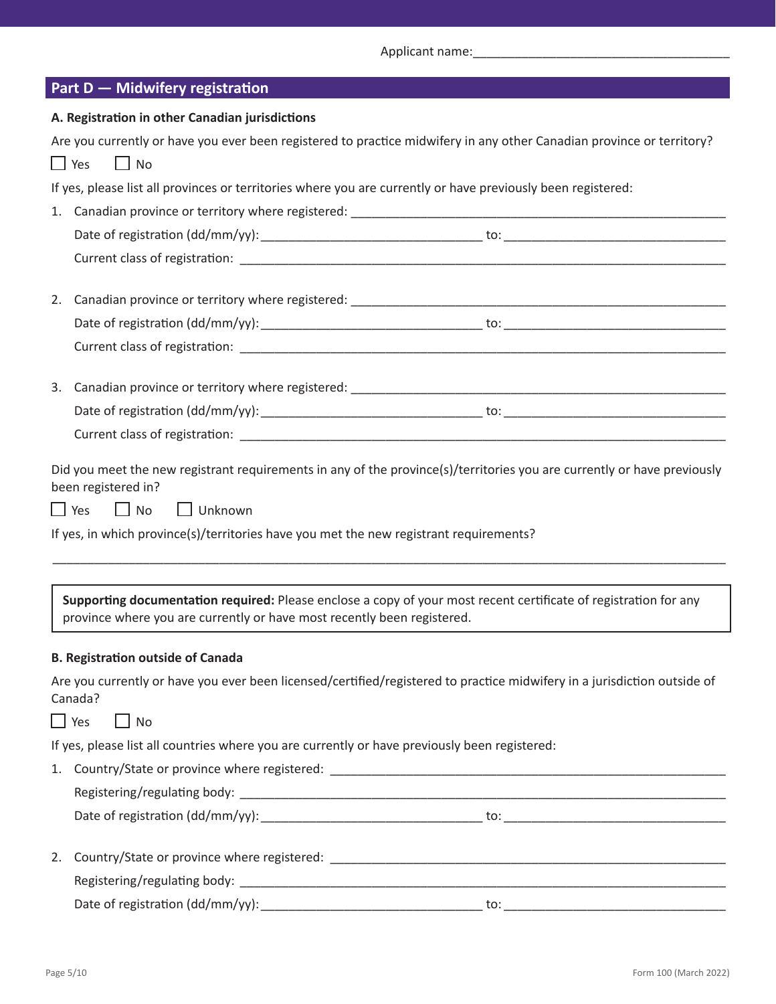Applicant name:\_\_\_\_\_\_\_\_\_\_\_\_\_\_\_\_\_\_\_\_\_\_\_\_\_\_\_\_\_\_\_\_\_\_\_\_\_

| Part D - Midwifery registration |  |  |
|---------------------------------|--|--|
|                                 |  |  |

|    | A. Registration in other Canadian jurisdictions                                                                                                                                                                                                                                       |
|----|---------------------------------------------------------------------------------------------------------------------------------------------------------------------------------------------------------------------------------------------------------------------------------------|
|    | Are you currently or have you ever been registered to practice midwifery in any other Canadian province or territory?                                                                                                                                                                 |
|    | $\Box$ Yes<br>$\Box$ No                                                                                                                                                                                                                                                               |
|    | If yes, please list all provinces or territories where you are currently or have previously been registered:                                                                                                                                                                          |
|    |                                                                                                                                                                                                                                                                                       |
|    |                                                                                                                                                                                                                                                                                       |
|    |                                                                                                                                                                                                                                                                                       |
| 2. |                                                                                                                                                                                                                                                                                       |
|    |                                                                                                                                                                                                                                                                                       |
|    |                                                                                                                                                                                                                                                                                       |
|    |                                                                                                                                                                                                                                                                                       |
|    |                                                                                                                                                                                                                                                                                       |
|    |                                                                                                                                                                                                                                                                                       |
|    | Did you meet the new registrant requirements in any of the province(s)/territories you are currently or have previously<br>been registered in?<br>$\Box$ Yes<br>$\Box$ No<br>$\Box$ Unknown<br>If yes, in which province(s)/territories have you met the new registrant requirements? |
|    | Supporting documentation required: Please enclose a copy of your most recent certificate of registration for any<br>province where you are currently or have most recently been registered.                                                                                           |
|    | <b>B. Registration outside of Canada</b>                                                                                                                                                                                                                                              |
|    | Are you currently or have you ever been licensed/certified/registered to practice midwifery in a jurisdiction outside of<br>Canada?                                                                                                                                                   |
|    | $\Box$ Yes<br>$\Box$ No                                                                                                                                                                                                                                                               |
|    | If yes, please list all countries where you are currently or have previously been registered:                                                                                                                                                                                         |
|    |                                                                                                                                                                                                                                                                                       |
|    |                                                                                                                                                                                                                                                                                       |
|    |                                                                                                                                                                                                                                                                                       |
| 2. |                                                                                                                                                                                                                                                                                       |
|    |                                                                                                                                                                                                                                                                                       |
|    |                                                                                                                                                                                                                                                                                       |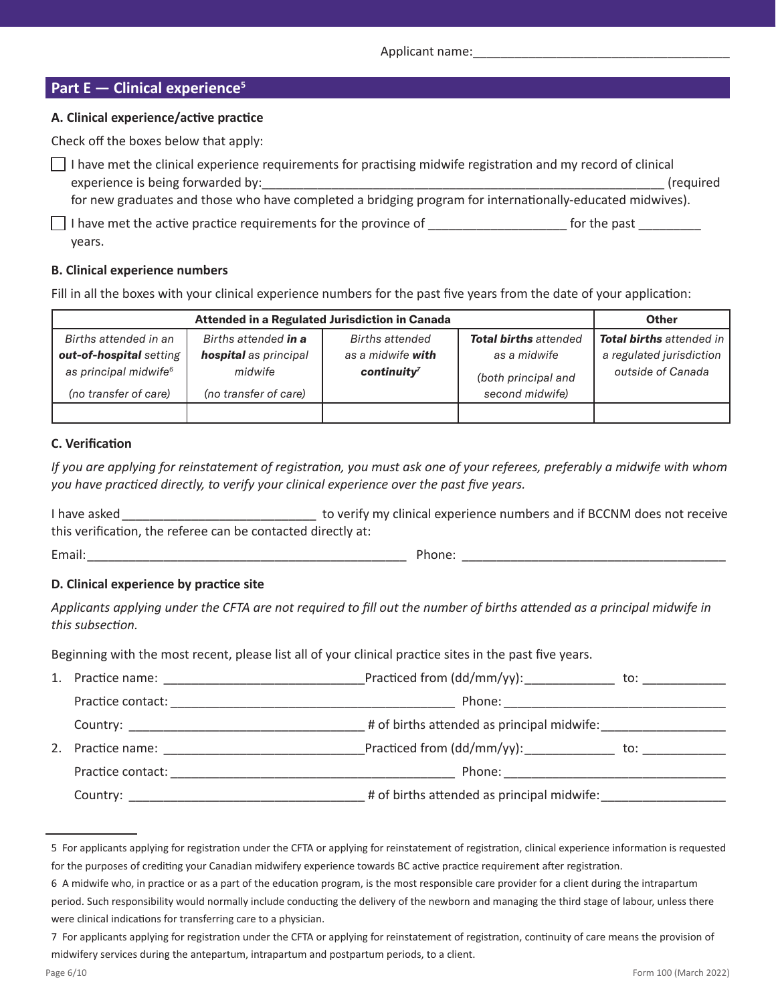#### **Part E — Clinical experience<sup>5</sup>**

#### **A. Clinical experience/active practice**

Check off the boxes below that apply:

| $\Box$ I have met the clinical experience requirements for practising midwife registration and my record of clinical |              |
|----------------------------------------------------------------------------------------------------------------------|--------------|
| experience is being forwarded by:                                                                                    | (required    |
| for new graduates and those who have completed a bridging program for internationally-educated midwives).            |              |
| $\vert \ \vert$ I have met the active practice requirements for the province of                                      | for the past |
| years.                                                                                                               |              |

#### **B. Clinical experience numbers**

Fill in all the boxes with your clinical experience numbers for the past five years from the date of your application:

|                                   |                       | <b>Attended in a Regulated Jurisdiction in Canada</b> |                              | <b>Other</b>                    |
|-----------------------------------|-----------------------|-------------------------------------------------------|------------------------------|---------------------------------|
| Births attended in an             | Births attended in a  | Births attended                                       | <b>Total births attended</b> | <b>Total births</b> attended in |
| out-of-hospital setting           | hospital as principal | as a midwife <b>with</b>                              | as a midwife                 | a regulated jurisdiction        |
| as principal midwife <sup>6</sup> | midwife               | $\text{continuity}^7$                                 | (both principal and          | outside of Canada               |
| (no transfer of care)             | (no transfer of care) |                                                       | second midwife)              |                                 |
|                                   |                       |                                                       |                              |                                 |

#### **C. Verification**

*If you are applying for reinstatement of registration, you must ask one of your referees, preferably a midwife with whom you have practiced directly, to verify your clinical experience over the past five years.*

I have asked \_\_\_\_\_\_\_\_\_\_\_\_\_\_\_\_\_\_\_\_\_\_\_\_\_\_\_\_\_\_\_\_\_\_ to verify my clinical experience numbers and if BCCNM does not receive this verification, the referee can be contacted directly at:

Email:\_\_\_\_\_\_\_\_\_\_\_\_\_\_\_\_\_\_\_\_\_\_\_\_\_\_\_\_\_\_\_\_\_\_\_\_\_\_\_\_\_\_\_\_\_\_ Phone: \_\_\_\_\_\_\_\_\_\_\_\_\_\_\_\_\_\_\_\_\_\_\_\_\_\_\_\_\_\_\_\_\_\_\_\_\_\_

#### **D. Clinical experience by practice site**

*Applicants applying under the CFTA are not required to fill out the number of births attended as a principal midwife in this subsection.*

Beginning with the most recent, please list all of your clinical practice sites in the past five years.

| $1_{-}$           | to: ___________                                                                                                                                                                                                                                                                                                                                                                                                                                                                                                                                                                                                                                                                                                                                                                         |                                                                                                                                                                                                                                                                                                                                                                                                                                                           |
|-------------------|-----------------------------------------------------------------------------------------------------------------------------------------------------------------------------------------------------------------------------------------------------------------------------------------------------------------------------------------------------------------------------------------------------------------------------------------------------------------------------------------------------------------------------------------------------------------------------------------------------------------------------------------------------------------------------------------------------------------------------------------------------------------------------------------|-----------------------------------------------------------------------------------------------------------------------------------------------------------------------------------------------------------------------------------------------------------------------------------------------------------------------------------------------------------------------------------------------------------------------------------------------------------|
| Practice contact: |                                                                                                                                                                                                                                                                                                                                                                                                                                                                                                                                                                                                                                                                                                                                                                                         |                                                                                                                                                                                                                                                                                                                                                                                                                                                           |
|                   |                                                                                                                                                                                                                                                                                                                                                                                                                                                                                                                                                                                                                                                                                                                                                                                         |                                                                                                                                                                                                                                                                                                                                                                                                                                                           |
| 2.                |                                                                                                                                                                                                                                                                                                                                                                                                                                                                                                                                                                                                                                                                                                                                                                                         |                                                                                                                                                                                                                                                                                                                                                                                                                                                           |
|                   |                                                                                                                                                                                                                                                                                                                                                                                                                                                                                                                                                                                                                                                                                                                                                                                         |                                                                                                                                                                                                                                                                                                                                                                                                                                                           |
|                   |                                                                                                                                                                                                                                                                                                                                                                                                                                                                                                                                                                                                                                                                                                                                                                                         |                                                                                                                                                                                                                                                                                                                                                                                                                                                           |
|                   | Practice name: Name and Separate and Separate and Separate and Separate and Separate and Separate and Separate and Separate and Separate and Separate and Separate and Separate and Separate and Separate and Separate and Sep<br><u> 1980 - Johann Barn, fransk politik (f. 1980)</u><br>Practice name: The contract of the contract of the contract of the contract of the contract of the contract of the contract of the contract of the contract of the contract of the contract of the contract of the contract of<br>Practice contact: The contract of the contract of the contract of the contract of the contract of the contract of the contract of the contract of the contract of the contract of the contract of the contract of the contract<br>Country: ________________ | Practiced from (dd/mm/yy): _____________<br>Phone: ____________________________<br># of births attended as principal midwife:<br>Practiced from (dd/mm/yy): _____________<br>Phone: will be a series of the series of the series of the series of the series of the series of the series of the series of the series of the series of the series of the series of the series of the series of the series of<br># of births attended as principal midwife: |

<sup>5</sup> For applicants applying for registration under the CFTA or applying for reinstatement of registration, clinical experience information is requested for the purposes of crediting your Canadian midwifery experience towards BC active practice requirement after registration.

<sup>6</sup> A midwife who, in practice or as a part of the education program, is the most responsible care provider for a client during the intrapartum period. Such responsibility would normally include conducting the delivery of the newborn and managing the third stage of labour, unless there were clinical indications for transferring care to a physician.

<sup>7</sup> For applicants applying for registration under the CFTA or applying for reinstatement of registration, continuity of care means the provision of midwifery services during the antepartum, intrapartum and postpartum periods, to a client.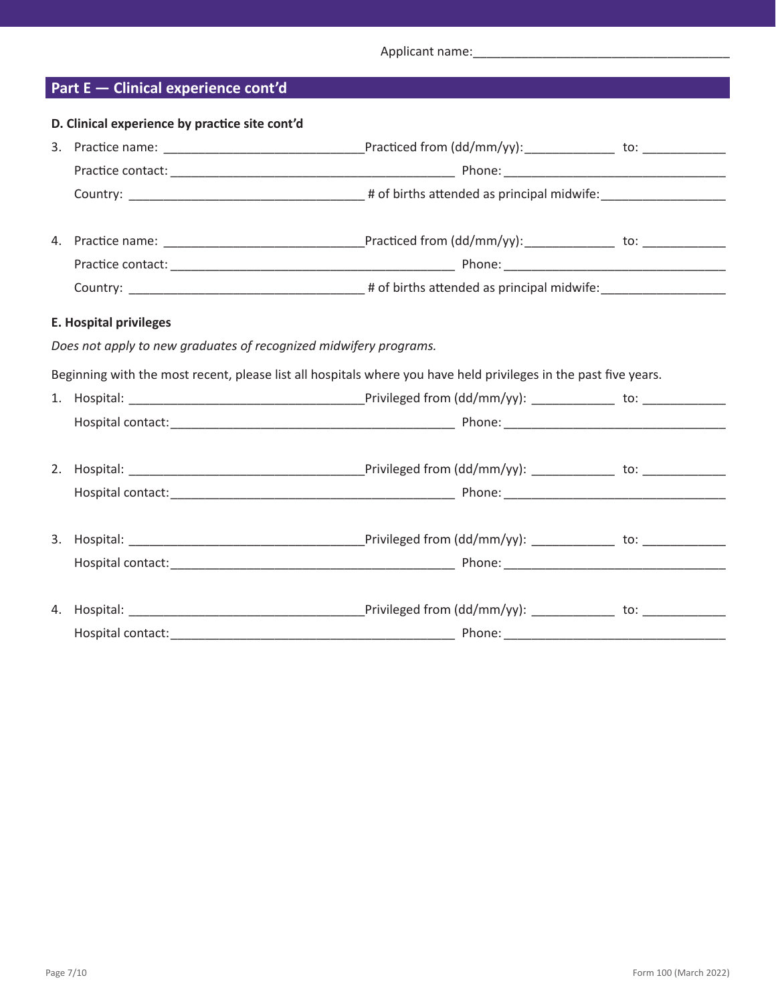Applicant name:\_\_\_\_\_\_\_\_\_\_\_\_\_\_\_\_\_\_\_\_\_\_\_\_\_\_\_\_\_\_\_\_\_\_\_\_\_

## **Part E — Clinical experience cont'd**

| D. Clinical experience by practice site cont'd                                                                   |  |
|------------------------------------------------------------------------------------------------------------------|--|
|                                                                                                                  |  |
|                                                                                                                  |  |
|                                                                                                                  |  |
|                                                                                                                  |  |
|                                                                                                                  |  |
|                                                                                                                  |  |
| <b>E. Hospital privileges</b>                                                                                    |  |
| Does not apply to new graduates of recognized midwifery programs.                                                |  |
| Beginning with the most recent, please list all hospitals where you have held privileges in the past five years. |  |
|                                                                                                                  |  |
|                                                                                                                  |  |
|                                                                                                                  |  |
|                                                                                                                  |  |
|                                                                                                                  |  |
|                                                                                                                  |  |
|                                                                                                                  |  |
|                                                                                                                  |  |
|                                                                                                                  |  |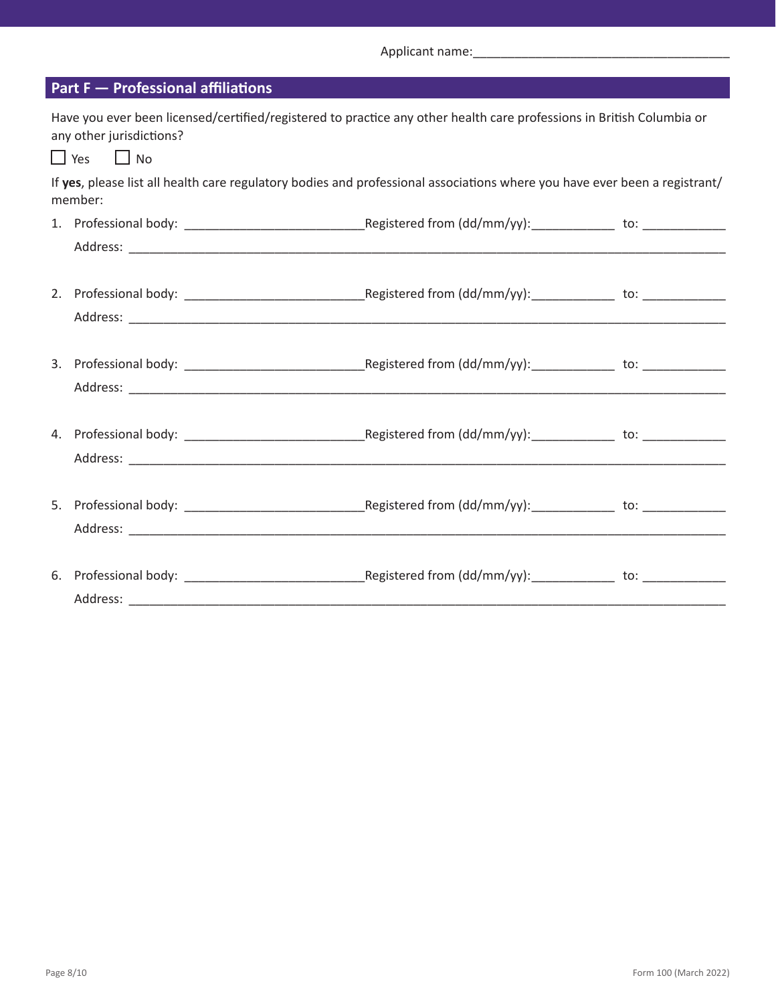Applicant name:\_\_\_\_\_\_\_\_\_\_\_\_\_\_\_\_\_\_\_\_\_\_\_\_\_\_\_\_\_\_\_\_\_\_\_\_\_

| <b>Part F - Professional affiliations</b>                                                                                                                                 |  |
|---------------------------------------------------------------------------------------------------------------------------------------------------------------------------|--|
| Have you ever been licensed/certified/registered to practice any other health care professions in British Columbia or<br>any other jurisdictions?<br>$\Box$ Yes $\Box$ No |  |
| If yes, please list all health care regulatory bodies and professional associations where you have ever been a registrant/<br>member:                                     |  |
|                                                                                                                                                                           |  |
|                                                                                                                                                                           |  |
|                                                                                                                                                                           |  |
|                                                                                                                                                                           |  |
|                                                                                                                                                                           |  |
|                                                                                                                                                                           |  |
|                                                                                                                                                                           |  |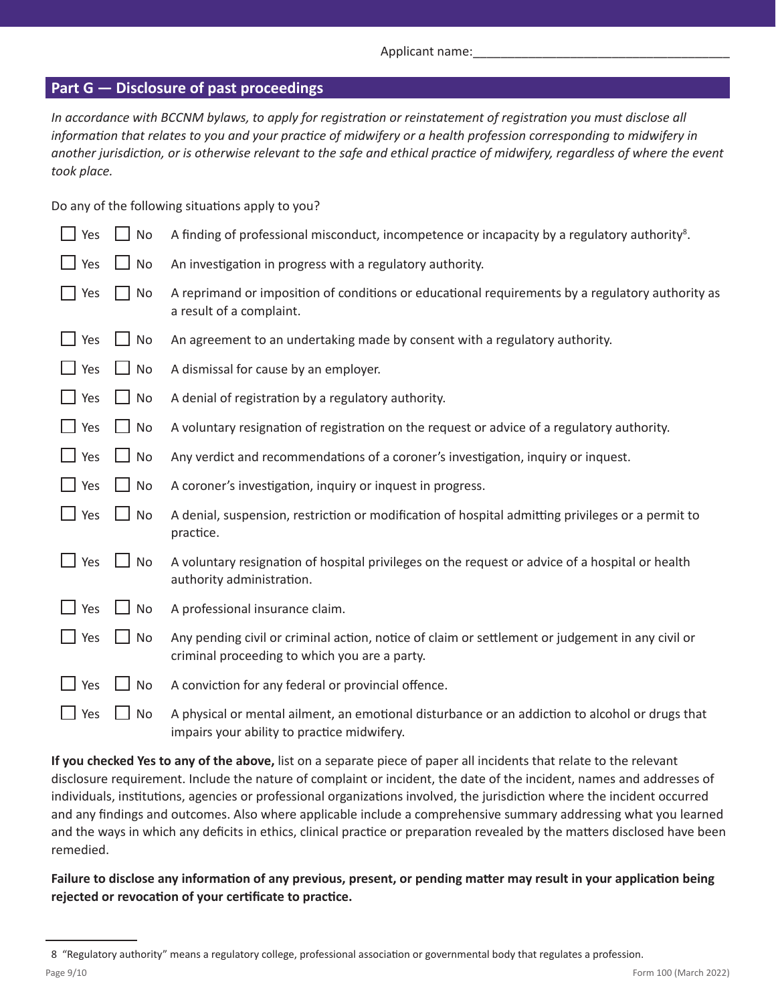#### **Part G — Disclosure of past proceedings**

*In accordance with BCCNM bylaws, to apply for registration or reinstatement of registration you must disclose all information that relates to you and your practice of midwifery or a health profession corresponding to midwifery in another jurisdiction, or is otherwise relevant to the safe and ethical practice of midwifery, regardless of where the event took place.*

Do any of the following situations apply to you?

| Yes        | $\Box$ No | A finding of professional misconduct, incompetence or incapacity by a regulatory authority <sup>8</sup> .                                         |
|------------|-----------|---------------------------------------------------------------------------------------------------------------------------------------------------|
| Yes        | $\Box$ No | An investigation in progress with a regulatory authority.                                                                                         |
| Yes        | $\Box$ No | A reprimand or imposition of conditions or educational requirements by a regulatory authority as<br>a result of a complaint.                      |
| Yes        | No        | An agreement to an undertaking made by consent with a regulatory authority.                                                                       |
| Yes        | $\Box$ No | A dismissal for cause by an employer.                                                                                                             |
| Yes        | $\Box$ No | A denial of registration by a regulatory authority.                                                                                               |
| Yes        | $\Box$ No | A voluntary resignation of registration on the request or advice of a regulatory authority.                                                       |
| Yes        | $\Box$ No | Any verdict and recommendations of a coroner's investigation, inquiry or inquest.                                                                 |
| $\Box$ Yes | $\Box$ No | A coroner's investigation, inquiry or inquest in progress.                                                                                        |
| Yes        | $\Box$ No | A denial, suspension, restriction or modification of hospital admitting privileges or a permit to<br>practice.                                    |
| $\Box$ Yes | $\Box$ No | A voluntary resignation of hospital privileges on the request or advice of a hospital or health<br>authority administration.                      |
| Yes        | $\Box$ No | A professional insurance claim.                                                                                                                   |
| Yes        | $\Box$ No | Any pending civil or criminal action, notice of claim or settlement or judgement in any civil or<br>criminal proceeding to which you are a party. |
| Yes        | $\Box$ No | A conviction for any federal or provincial offence.                                                                                               |
| Yes        | No        | A physical or mental ailment, an emotional disturbance or an addiction to alcohol or drugs that<br>impairs your ability to practice midwifery.    |

**If you checked Yes to any of the above,** list on a separate piece of paper all incidents that relate to the relevant disclosure requirement. Include the nature of complaint or incident, the date of the incident, names and addresses of individuals, institutions, agencies or professional organizations involved, the jurisdiction where the incident occurred and any findings and outcomes. Also where applicable include a comprehensive summary addressing what you learned and the ways in which any deficits in ethics, clinical practice or preparation revealed by the matters disclosed have been remedied.

**Failure to disclose any information of any previous, present, or pending matter may result in your application being rejected or revocation of your certificate to practice.**

<sup>8 &</sup>quot;Regulatory authority" means a regulatory college, professional association or governmental body that regulates a profession.